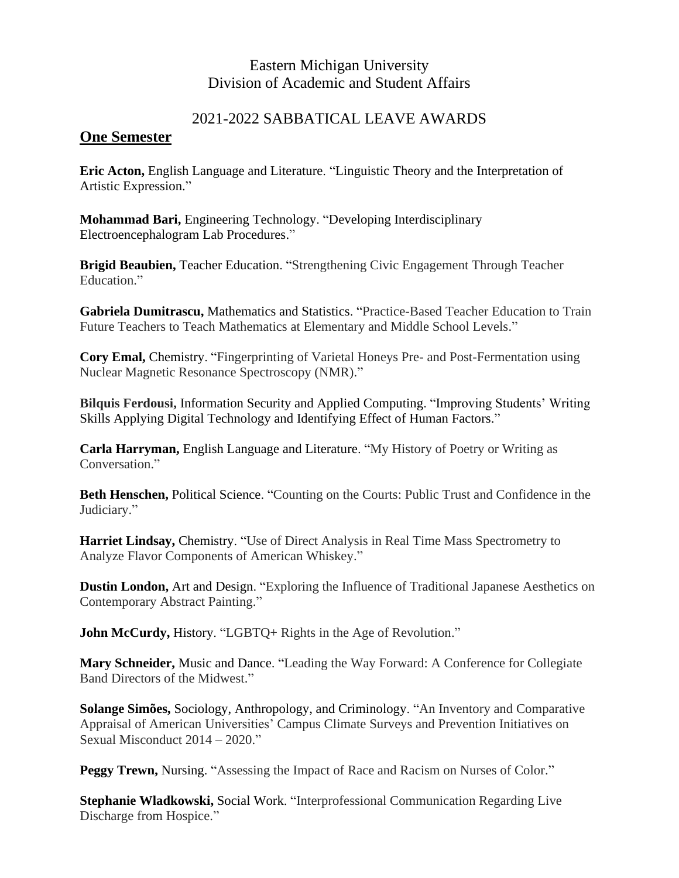## Eastern Michigan University Division of Academic and Student Affairs

## 2021-2022 SABBATICAL LEAVE AWARDS

## **One Semester**

**Eric Acton,** English Language and Literature. "Linguistic Theory and the Interpretation of Artistic Expression."

**Mohammad Bari,** Engineering Technology. "Developing Interdisciplinary Electroencephalogram Lab Procedures."

**Brigid Beaubien,** Teacher Education. "Strengthening Civic Engagement Through Teacher Education."

**Gabriela Dumitrascu,** Mathematics and Statistics. "Practice-Based Teacher Education to Train Future Teachers to Teach Mathematics at Elementary and Middle School Levels."

**Cory Emal,** Chemistry. "Fingerprinting of Varietal Honeys Pre- and Post-Fermentation using Nuclear Magnetic Resonance Spectroscopy (NMR)."

**Bilquis Ferdousi,** Information Security and Applied Computing. "Improving Students' Writing Skills Applying Digital Technology and Identifying Effect of Human Factors."

**Carla Harryman,** English Language and Literature. "My History of Poetry or Writing as Conversation."

**Beth Henschen,** Political Science. "Counting on the Courts: Public Trust and Confidence in the Judiciary."

**Harriet Lindsay,** Chemistry. "Use of Direct Analysis in Real Time Mass Spectrometry to Analyze Flavor Components of American Whiskey."

**Dustin London,** Art and Design. "Exploring the Influence of Traditional Japanese Aesthetics on Contemporary Abstract Painting."

**John McCurdy, History. "LGBTQ+ Rights in the Age of Revolution."** 

**Mary Schneider,** Music and Dance. "Leading the Way Forward: A Conference for Collegiate Band Directors of the Midwest."

**Solange Simões,** Sociology, Anthropology, and Criminology. "An Inventory and Comparative Appraisal of American Universities' Campus Climate Surveys and Prevention Initiatives on Sexual Misconduct 2014 – 2020."

**Peggy Trewn,** Nursing. "Assessing the Impact of Race and Racism on Nurses of Color."

**Stephanie Wladkowski,** Social Work. "Interprofessional Communication Regarding Live Discharge from Hospice."